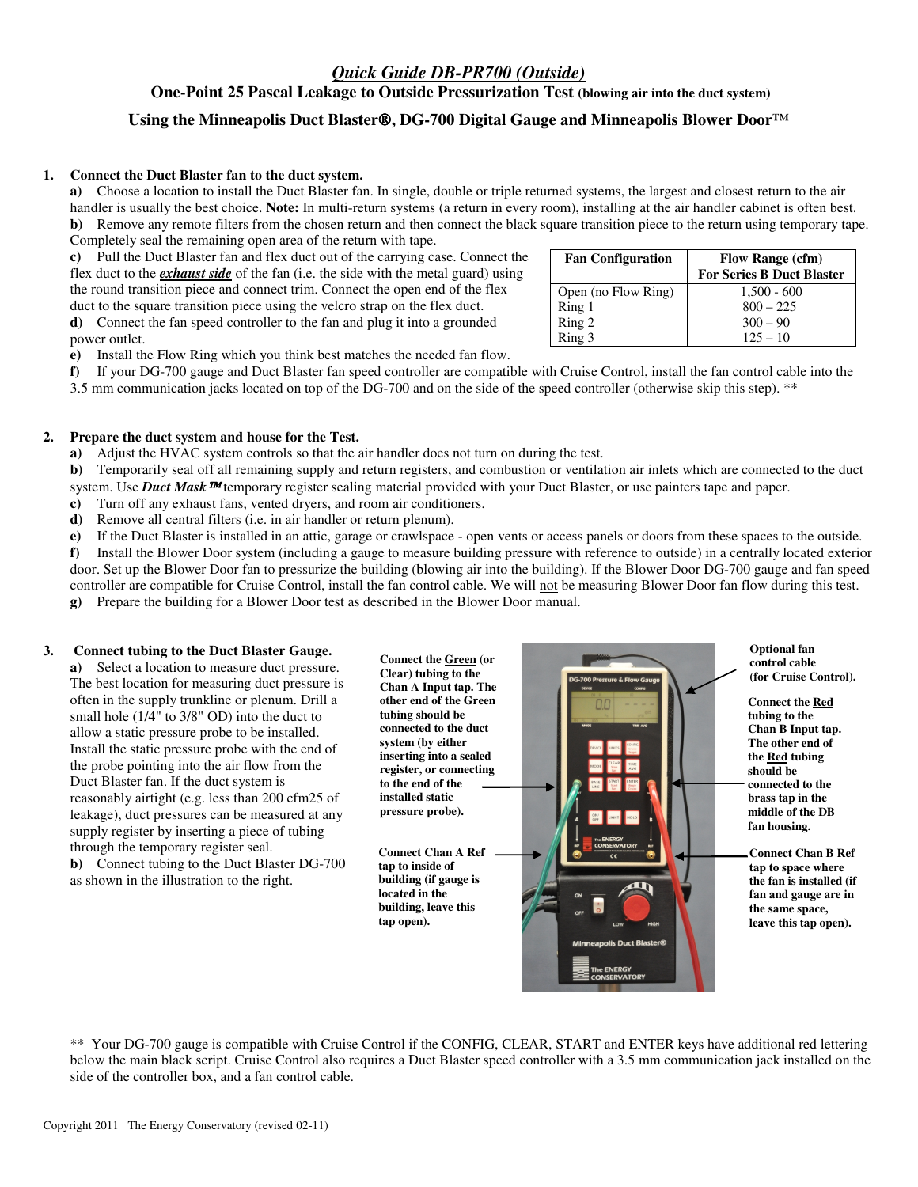# *Quick Guide DB-PR700 (Outside)*

**One-Point 25 Pascal Leakage to Outside Pressurization Test (blowing air into the duct system)** 

# **Using the Minneapolis Duct Blaster, DG-700 Digital Gauge and Minneapolis Blower Door™**

### **1. Connect the Duct Blaster fan to the duct system.**

**a)** Choose a location to install the Duct Blaster fan. In single, double or triple returned systems, the largest and closest return to the air handler is usually the best choice. **Note:** In multi-return systems (a return in every room), installing at the air handler cabinet is often best. **b)** Remove any remote filters from the chosen return and then connect the black square transition piece to the return using temporary tape. Completely seal the remaining open area of the return with tape.

**c)** Pull the Duct Blaster fan and flex duct out of the carrying case. Connect the flex duct to the *exhaust side* of the fan (i.e. the side with the metal guard) using the round transition piece and connect trim. Connect the open end of the flex duct to the square transition piece using the velcro strap on the flex duct. **d)** Connect the fan speed controller to the fan and plug it into a grounded power outlet.

Fan Configuration Flow Range (cfm) **For Series B Duct Blaster** Open (no Flow Ring) 1,500 - 600 Ring 1  $800 - 225$ <br>Ring 2  $300 - 90$  $300 - 90$ Ring 3 125 – 10

**e)** Install the Flow Ring which you think best matches the needed fan flow.

**f)** If your DG-700 gauge and Duct Blaster fan speed controller are compatible with Cruise Control, install the fan control cable into the

3.5 mm communication jacks located on top of the DG-700 and on the side of the speed controller (otherwise skip this step). \*\*

### **2. Prepare the duct system and house for the Test.**

**a)** Adjust the HVAC system controls so that the air handler does not turn on during the test.

**b**) Temporarily seal off all remaining supply and return registers, and combustion or ventilation air inlets which are connected to the duct system. Use **Duct Mask <sup>TM</sup>** temporary register sealing material provided with your Duct Blaster, or use painters tape and paper.

**c)** Turn off any exhaust fans, vented dryers, and room air conditioners.

**d)** Remove all central filters (i.e. in air handler or return plenum).

**e)** If the Duct Blaster is installed in an attic, garage or crawlspace - open vents or access panels or doors from these spaces to the outside.

**f)** Install the Blower Door system (including a gauge to measure building pressure with reference to outside) in a centrally located exterior door. Set up the Blower Door fan to pressurize the building (blowing air into the building). If the Blower Door DG-700 gauge and fan speed controller are compatible for Cruise Control, install the fan control cable. We will not be measuring Blower Door fan flow during this test.

**g)** Prepare the building for a Blower Door test as described in the Blower Door manual.

#### **3. Connect tubing to the Duct Blaster Gauge.**

**a)** Select a location to measure duct pressure. The best location for measuring duct pressure is often in the supply trunkline or plenum. Drill a small hole (1/4" to 3/8" OD) into the duct to allow a static pressure probe to be installed. Install the static pressure probe with the end of the probe pointing into the air flow from the Duct Blaster fan. If the duct system is reasonably airtight (e.g. less than 200 cfm25 of leakage), duct pressures can be measured at any supply register by inserting a piece of tubing through the temporary register seal. **b)** Connect tubing to the Duct Blaster DG-700

as shown in the illustration to the right.

**other end of the Green tubing should be connected to the duct system (by either inserting into a sealed register, or connecting to the end of the installed static pressure probe).** 

**Connect the Green (or Clear) tubing to the Chan A Input tap. The** 

**Connect Chan A Ref tap to inside of building (if gauge is located in the building, leave this tap open).** 



**Optional fan control cable (for Cruise Control).**

**Connect the Red tubing to the Chan B Input tap. The other end of the Red tubing should be connected to the brass tap in the middle of the DB fan housing.** 

**Connect Chan B Ref tap to space where the fan is installed (if fan and gauge are in the same space, leave this tap open).** 

\*\* Your DG-700 gauge is compatible with Cruise Control if the CONFIG, CLEAR, START and ENTER keys have additional red lettering below the main black script. Cruise Control also requires a Duct Blaster speed controller with a 3.5 mm communication jack installed on the side of the controller box, and a fan control cable.